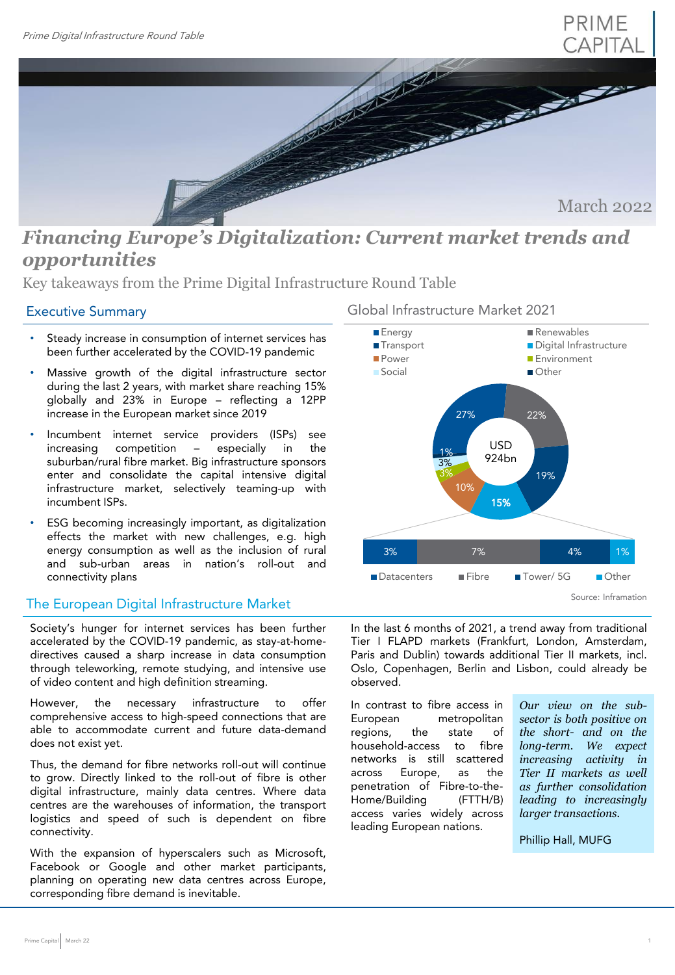

March 2022

# *Financing Europe's Digitalization: Current market trends and opportunities*

Key takeaways from the Prime Digital Infrastructure Round Table

# Executive Summary

- Steady increase in consumption of internet services has been further accelerated by the COVID-19 pandemic
- Massive growth of the digital infrastructure sector during the last 2 years, with market share reaching 15% globally and 23% in Europe – reflecting a 12PP increase in the European market since 2019
- Incumbent internet service providers (ISPs) see increasing competition – especially in the suburban/rural fibre market. Big infrastructure sponsors enter and consolidate the capital intensive digital infrastructure market, selectively teaming-up with incumbent ISPs.
- ESG becoming increasingly important, as digitalization effects the market with new challenges, e.g. high energy consumption as well as the inclusion of rural and sub-urban areas in nation's roll-out and connectivity plans

# The European Digital Infrastructure Market

Society's hunger for internet services has been further accelerated by the COVID-19 pandemic, as stay-at-homedirectives caused a sharp increase in data consumption through teleworking, remote studying, and intensive use of video content and high definition streaming.

However, the necessary infrastructure to offer comprehensive access to high-speed connections that are able to accommodate current and future data-demand does not exist yet.

Thus, the demand for fibre networks roll-out will continue to grow. Directly linked to the roll-out of fibre is other digital infrastructure, mainly data centres. Where data centres are the warehouses of information, the transport logistics and speed of such is dependent on fibre connectivity.

With the expansion of hyperscalers such as Microsoft, Facebook or Google and other market participants, planning on operating new data centres across Europe, corresponding fibre demand is inevitable.



In the last 6 months of 2021, a trend away from traditional Tier I FLAPD markets (Frankfurt, London, Amsterdam, Paris and Dublin) towards additional Tier II markets, incl. Oslo, Copenhagen, Berlin and Lisbon, could already be observed.

In contrast to fibre access in European metropolitan regions, the state of household-access to fibre networks is still scattered across Europe, as the penetration of Fibre-to-the-Home/Building (FTTH/B) access varies widely across leading European nations.

*Our view on the subsector is both positive on the short- and on the long-term. We expect increasing activity in Tier II markets as well as further consolidation leading to increasingly larger transactions.*

Phillip Hall, MUFG

## Global Infrastructure Market 2021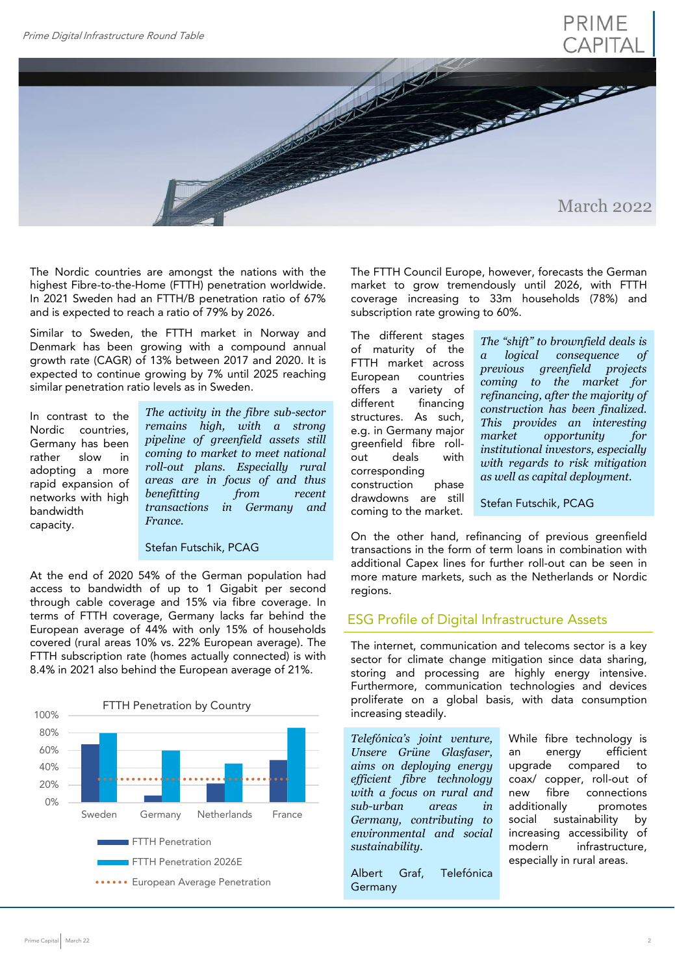# PRIME CAPITAL



The Nordic countries are amongst the nations with the highest Fibre-to-the-Home (FTTH) penetration worldwide. In 2021 Sweden had an FTTH/B penetration ratio of 67% and is expected to reach a ratio of 79% by 2026.

Similar to Sweden, the FTTH market in Norway and Denmark has been growing with a compound annual growth rate (CAGR) of 13% between 2017 and 2020. It is expected to continue growing by 7% until 2025 reaching similar penetration ratio levels as in Sweden.

In contrast to the Nordic countries, Germany has been rather slow in adopting a more rapid expansion of networks with high bandwidth capacity.

*The activity in the fibre sub-sector remains high, with a strong pipeline of greenfield assets still coming to market to meet national roll-out plans. Especially rural areas are in focus of and thus benefitting from recent transactions in Germany and France.*

#### Stefan Futschik, PCAG

At the end of 2020 54% of the German population had access to bandwidth of up to 1 Gigabit per second through cable coverage and 15% via fibre coverage. In terms of FTTH coverage, Germany lacks far behind the European average of 44% with only 15% of households covered (rural areas 10% vs. 22% European average). The FTTH subscription rate (homes actually connected) is with 8.4% in 2021 also behind the European average of 21%.



The FTTH Council Europe, however, forecasts the German market to grow tremendously until 2026, with FTTH coverage increasing to 33m households (78%) and subscription rate growing to 60%.

The different stages of maturity of the FTTH market across European countries offers a variety of different financing structures. As such, e.g. in Germany major greenfield fibre rollout deals with corresponding construction phase drawdowns are still coming to the market.

*The "shift" to brownfield deals is a logical consequence of previous greenfield projects coming to the market for refinancing, after the majority of construction has been finalized. This provides an interesting market opportunity for institutional investors, especially with regards to risk mitigation as well as capital deployment.*

Stefan Futschik, PCAG

On the other hand, refinancing of previous greenfield transactions in the form of term loans in combination with additional Capex lines for further roll-out can be seen in more mature markets, such as the Netherlands or Nordic regions.

### ESG Profile of Digital Infrastructure Assets

The internet, communication and telecoms sector is a key sector for climate change mitigation since data sharing, storing and processing are highly energy intensive. Furthermore, communication technologies and devices proliferate on a global basis, with data consumption increasing steadily.

*Telefónica's joint venture, Unsere Grüne Glasfaser, aims on deploying energy efficient fibre technology with a focus on rural and sub-urban areas in Germany, contributing to environmental and social sustainability.*

Albert Graf, Telefónica Germany

While fibre technology is an energy efficient upgrade compared to coax/ copper, roll-out of new fibre connections additionally promotes social sustainability by increasing accessibility of<br>modern infrastructure, infrastructure, especially in rural areas.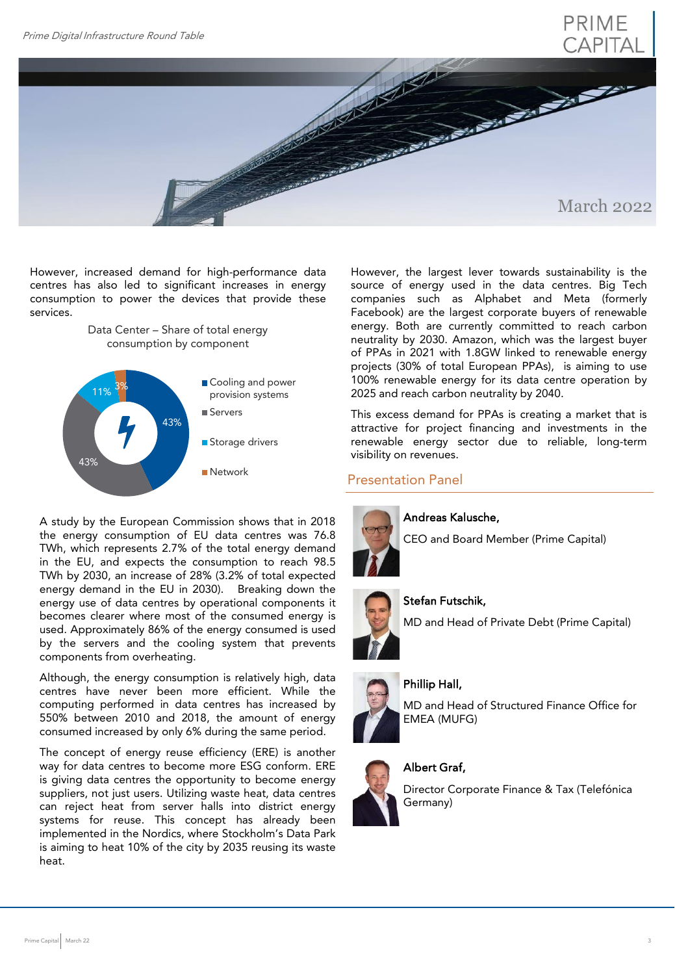



However, increased demand for high-performance data centres has also led to significant increases in energy consumption to power the devices that provide these services.

> Data Center – Share of total energy consumption by component



A study by the European Commission shows that in 2018 the energy consumption of EU data centres was 76.8 TWh, which represents 2.7% of the total energy demand in the EU, and expects the consumption to reach 98.5 TWh by 2030, an increase of 28% (3.2% of total expected energy demand in the EU in 2030). Breaking down the energy use of data centres by operational components it becomes clearer where most of the consumed energy is used. Approximately 86% of the energy consumed is used by the servers and the cooling system that prevents components from overheating.

Although, the energy consumption is relatively high, data centres have never been more efficient. While the computing performed in data centres has increased by 550% between 2010 and 2018, the amount of energy consumed increased by only 6% during the same period.

The concept of energy reuse efficiency (ERE) is another way for data centres to become more ESG conform. ERE is giving data centres the opportunity to become energy suppliers, not just users. Utilizing waste heat, data centres can reject heat from server halls into district energy systems for reuse. This concept has already been implemented in the Nordics, where Stockholm's Data Park is aiming to heat 10% of the city by 2035 reusing its waste heat.

However, the largest lever towards sustainability is the source of energy used in the data centres. Big Tech companies such as Alphabet and Meta (formerly Facebook) are the largest corporate buyers of renewable energy. Both are currently committed to reach carbon neutrality by 2030. Amazon, which was the largest buyer of PPAs in 2021 with 1.8GW linked to renewable energy projects (30% of total European PPAs), is aiming to use 100% renewable energy for its data centre operation by 2025 and reach carbon neutrality by 2040.

This excess demand for PPAs is creating a market that is attractive for project financing and investments in the renewable energy sector due to reliable, long-term visibility on revenues.

## Presentation Panel



### Andreas Kalusche,

CEO and Board Member (Prime Capital)



#### Stefan Futschik,

MD and Head of Private Debt (Prime Capital)

### Phillip Hall,

MD and Head of Structured Finance Office for EMEA (MUFG)

# Albert Graf,

Director Corporate Finance & Tax (Telefónica Germany)